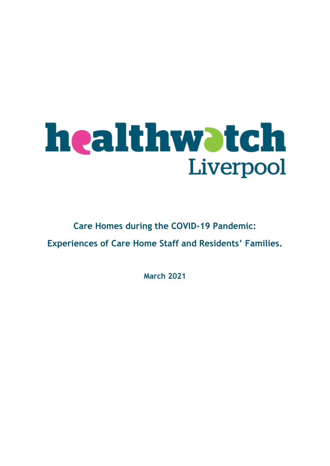# **healthwatch**<br>Liverpool

### **Care Homes during the COVID-19 Pandemic: Experiences of Care Home Staff and Residents' Families.**

**March 2021**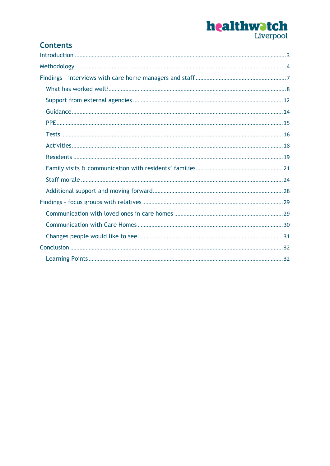# **healthwatch**<br>Liverpool

#### **Contents**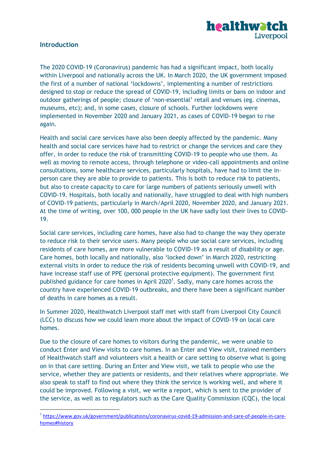

#### <span id="page-2-0"></span>**Introduction**

1

The 2020 COVID-19 (Coronavirus) pandemic has had a significant impact, both locally within Liverpool and nationally across the UK. In March 2020, the UK government imposed the first of a number of national 'lockdowns', implementing a number of restrictions designed to stop or reduce the spread of COVID-19, including limits or bans on indoor and outdoor gatherings of people; closure of 'non-essential' retail and venues (eg. cinemas, museums, etc); and, in some cases, closure of schools. Further lockdowns were implemented in November 2020 and January 2021, as cases of COVID-19 began to rise again.

Health and social care services have also been deeply affected by the pandemic. Many health and social care services have had to restrict or change the services and care they offer, in order to reduce the risk of transmitting COVID-19 to people who use them. As well as moving to remote access, through telephone or video-call appointments and online consultations, some healthcare services, particularly hospitals, have had to limit the inperson care they are able to provide to patients. This is both to reduce risk to patients, but also to create capacity to care for large numbers of patients seriously unwell with COVID-19. Hospitals, both locally and nationally, have struggled to deal with high numbers of COVID-19 patients, particularly in March/April 2020, November 2020, and January 2021. At the time of writing, over 100, 000 people in the UK have sadly lost their lives to COVID-19.

Social care services, including care homes, have also had to change the way they operate to reduce risk to their service users. Many people who use social care services, including residents of care homes, are more vulnerable to COVID-19 as a result of disability or age. Care homes, both locally and nationally, also 'locked down' in March 2020, restricting external visits in order to reduce the risk of residents becoming unwell with COVID-19, and have increase staff use of PPE (personal protective equipment). The government first published guidance for care homes in April  $2020<sup>1</sup>$ . Sadly, many care homes across the country have experienced COVID-19 outbreaks, and there have been a significant number of deaths in care homes as a result.

In Summer 2020, Healthwatch Liverpool staff met with staff from Liverpool City Council (LCC) to discuss how we could learn more about the impact of COVID-19 on local care homes.

Due to the closure of care homes to visitors during the pandemic, we were unable to conduct Enter and View visits to care homes. In an Enter and View visit, trained members of Healthwatch staff and volunteers visit a health or care setting to observe what is going on in that care setting. During an Enter and View visit, we talk to people who use the service, whether they are patients or residents, and their relatives where appropriate. We also speak to staff to find out where they think the service is working well, and where it could be improved. Following a visit, we write a report, which is sent to the provider of the service, as well as to regulators such as the Care Quality Commission (CQC), the local

<sup>&</sup>lt;sup>1</sup> [https://www.gov.uk/government/publications/coronavirus-covid-19-admission-and-care-of-people-in-care](https://www.gov.uk/government/publications/coronavirus-covid-19-admission-and-care-of-people-in-care-homes#history)[homes#history](https://www.gov.uk/government/publications/coronavirus-covid-19-admission-and-care-of-people-in-care-homes#history)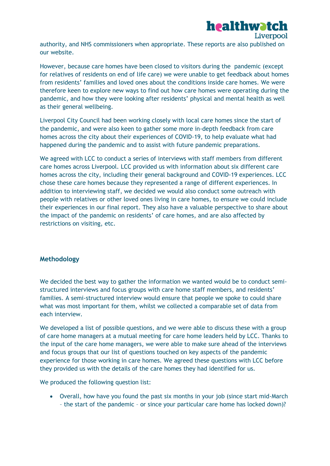

authority, and NHS commissioners when appropriate. These reports are also published on our website.

However, because care homes have been closed to visitors during the pandemic (except for relatives of residents on end of life care) we were unable to get feedback about homes from residents' families and loved ones about the conditions inside care homes. We were therefore keen to explore new ways to find out how care homes were operating during the pandemic, and how they were looking after residents' physical and mental health as well as their general wellbeing.

Liverpool City Council had been working closely with local care homes since the start of the pandemic, and were also keen to gather some more in-depth feedback from care homes across the city about their experiences of COVID-19, to help evaluate what had happened during the pandemic and to assist with future pandemic preparations.

We agreed with LCC to conduct a series of interviews with staff members from different care homes across Liverpool. LCC provided us with information about six different care homes across the city, including their general background and COVID-19 experiences. LCC chose these care homes because they represented a range of different experiences. In addition to interviewing staff, we decided we would also conduct some outreach with people with relatives or other loved ones living in care homes, to ensure we could include their experiences in our final report. They also have a valuable perspective to share about the impact of the pandemic on residents' of care homes, and are also affected by restrictions on visiting, etc.

#### <span id="page-3-0"></span>**Methodology**

We decided the best way to gather the information we wanted would be to conduct semistructured interviews and focus groups with care home staff members, and residents' families. A semi-structured interview would ensure that people we spoke to could share what was most important for them, whilst we collected a comparable set of data from each interview.

We developed a list of possible questions, and we were able to discuss these with a group of care home managers at a mutual meeting for care home leaders held by LCC. Thanks to the input of the care home managers, we were able to make sure ahead of the interviews and focus groups that our list of questions touched on key aspects of the pandemic experience for those working in care homes. We agreed these questions with LCC before they provided us with the details of the care homes they had identified for us.

We produced the following question list:

 Overall, how have you found the past six months in your job (since start mid-March – the start of the pandemic – or since your particular care home has locked down)?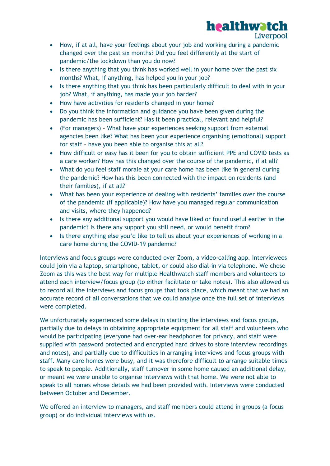

- How, if at all, have your feelings about your job and working during a pandemic changed over the past six months? Did you feel differently at the start of pandemic/the lockdown than you do now?
- Is there anything that you think has worked well in your home over the past six months? What, if anything, has helped you in your job?
- Is there anything that you think has been particularly difficult to deal with in your job? What, if anything, has made your job harder?
- How have activities for residents changed in your home?
- Do you think the information and guidance you have been given during the pandemic has been sufficient? Has it been practical, relevant and helpful?
- (For managers) What have your experiences seeking support from external agencies been like? What has been your experience organising (emotional) support for staff – have you been able to organise this at all?
- How difficult or easy has it been for you to obtain sufficient PPE and COVID tests as a care worker? How has this changed over the course of the pandemic, if at all?
- What do you feel staff morale at your care home has been like in general during the pandemic? How has this been connected with the impact on residents (and their families), if at all?
- What has been your experience of dealing with residents' families over the course of the pandemic (if applicable)? How have you managed regular communication and visits, where they happened?
- Is there any additional support you would have liked or found useful earlier in the pandemic? Is there any support you still need, or would benefit from?
- Is there anything else you'd like to tell us about your experiences of working in a care home during the COVID-19 pandemic?

Interviews and focus groups were conducted over Zoom, a video-calling app. Interviewees could join via a laptop, smartphone, tablet, or could also dial-in via telephone. We chose Zoom as this was the best way for multiple Healthwatch staff members and volunteers to attend each interview/focus group (to either facilitate or take notes). This also allowed us to record all the interviews and focus groups that took place, which meant that we had an accurate record of all conversations that we could analyse once the full set of interviews were completed.

We unfortunately experienced some delays in starting the interviews and focus groups, partially due to delays in obtaining appropriate equipment for all staff and volunteers who would be participating (everyone had over-ear headphones for privacy, and staff were supplied with password protected and encrypted hard drives to store interview recordings and notes), and partially due to difficulties in arranging interviews and focus groups with staff. Many care homes were busy, and it was therefore difficult to arrange suitable times to speak to people. Additionally, staff turnover in some home caused an additional delay, or meant we were unable to organise interviews with that home. We were not able to speak to all homes whose details we had been provided with. Interviews were conducted between October and December.

We offered an interview to managers, and staff members could attend in groups (a focus group) or do individual interviews with us.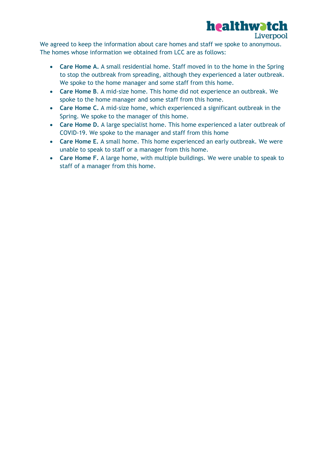# healthwatch

Liverpool

We agreed to keep the information about care homes and staff we spoke to anonymous. The homes whose information we obtained from LCC are as follows:

- **Care Home A.** A small residential home. Staff moved in to the home in the Spring to stop the outbreak from spreading, although they experienced a later outbreak. We spoke to the home manager and some staff from this home.
- **Care Home B**. A mid-size home. This home did not experience an outbreak. We spoke to the home manager and some staff from this home.
- **Care Home C.** A mid-size home, which experienced a significant outbreak in the Spring. We spoke to the manager of this home.
- **Care Home D.** A large specialist home. This home experienced a later outbreak of COVID-19. We spoke to the manager and staff from this home
- **Care Home E.** A small home. This home experienced an early outbreak. We were unable to speak to staff or a manager from this home.
- **Care Home F.** A large home, with multiple buildings. We were unable to speak to staff of a manager from this home.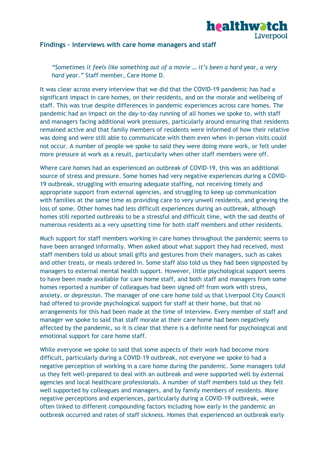

#### <span id="page-6-0"></span>**Findings – interviews with care home managers and staff**

*"Sometimes it feels like something out of a movie … it's been a hard year, a very hard year."* Staff member, Care Home D.

It was clear across every interview that we did that the COVID-19 pandemic has had a significant impact in care homes, on their residents, and on the morale and wellbeing of staff. This was true despite differences in pandemic experiences across care homes. The pandemic had an impact on the day-to-day running of all homes we spoke to, with staff and managers facing additional work pressures, particularly around ensuring that residents remained active and that family members of residents were informed of how their relative was doing and were still able to communicate with them even when in-person visits could not occur. A number of people we spoke to said they were doing more work, or felt under more pressure at work as a result, particularly when other staff members were off.

Where care homes had an experienced an outbreak of COVID-19, this was an additional source of stress and pressure. Some homes had very negative experiences during a COVID-19 outbreak, struggling with ensuring adequate staffing, not receiving timely and appropriate support from external agencies, and struggling to keep up communication with families at the same time as providing care to very unwell residents, and grieving the loss of some. Other homes had less difficult experiences during an outbreak, although homes still reported outbreaks to be a stressful and difficult time, with the sad deaths of numerous residents as a very upsetting time for both staff members and other residents.

Much support for staff members working in care homes throughout the pandemic seems to have been arranged informally. When asked about what support they had received, most staff members told us about small gifts and gestures from their managers, such as cakes and other treats, or meals ordered in. Some staff also told us they had been signposted by managers to external mental health support. However, little psychological support seems to have been made available for care home staff, and both staff and managers from some homes reported a number of colleagues had been signed off from work with stress, anxiety, or depression. The manager of one care home told us that Liverpool City Council had offered to provide psychological support for staff at their home, but that no arrangements for this had been made at the time of interview. Every member of staff and manager we spoke to said that staff morale at their care home had been negatively affected by the pandemic, so it is clear that there is a definite need for psychological and emotional support for care home staff.

While everyone we spoke to said that some aspects of their work had become more difficult, particularly during a COVID-19 outbreak, not everyone we spoke to had a negative perception of working in a care home during the pandemic. Some managers told us they felt well-prepared to deal with an outbreak and were supported well by external agencies and local healthcare professionals. A number of staff members told us they felt well supported by colleagues and managers, and by family members of residents. More negative perceptions and experiences, particularly during a COVID-19 outbreak, were often linked to different compounding factors including how early in the pandemic an outbreak occurred and rates of staff sickness. Homes that experienced an outbreak early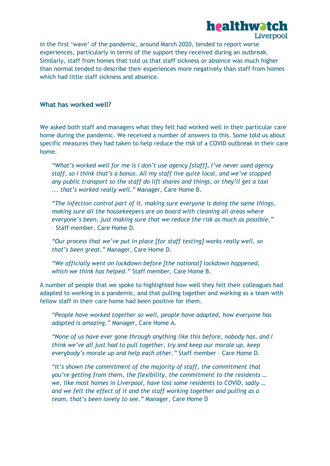

in the first 'wave' of the pandemic, around March 2020, tended to report worse experiences, particularly in terms of the support they received during an outbreak. Similarly, staff from homes that told us that staff sickness or absence was much higher than normal tended to describe their experiences more negatively than staff from homes which had little staff sickness and absence.

#### <span id="page-7-0"></span>**What has worked well?**

We asked both staff and managers what they felt had worked well in their particular care home during the pandemic. We received a number of answers to this. Some told us about specific measures they had taken to help reduce the risk of a COVID outbreak in their care home.

*"What's worked well for me is I don't use agency [staff], I've never used agency staff, so I think that's a bonus. All my staff live quite local, and we've stopped any public transport so the staff do lift shares and things, or they'll get a taxi ... that's worked really well."* Manager, Care Home B.

*"The infection control part of it, making sure everyone is doing the same things, making sure all the housekeepers are on board with cleaning all areas where everyone's been, just making sure that we reduce the risk as much as possible."* – Staff member, Care Home D.

*"Our process that we've put in place [for staff testing] works really well, so that's been great."* Manager, Care Home D.

*"We officially went on lockdown before [the national] lockdown happened, which we think has helped."* Staff member, Care Home B.

A number of people that we spoke to highlighted how well they felt their colleagues had adapted to working in a pandemic, and that pulling together and working as a team with fellow staff in their care home had been positive for them.

*"People have worked together so well, people have adapted, how everyone has adapted is amazing."* Manager, Care Home A.

*"None of us have ever gone through anything like this before, nobody has, and I think we've all just had to pull together, try and keep our morale up, keep everybody's morale up and help each other."* Staff member – Care Home D.

*"It's shown the commitment of the majority of staff, the commitment that you're getting from them, the flexibility, the commitment to the residents … we, like most homes in Liverpool, have lost some residents to COVID, sadly … and we felt the effect of it and the staff working together and pulling as a team, that's been lovely to see."* Manager, Care Home D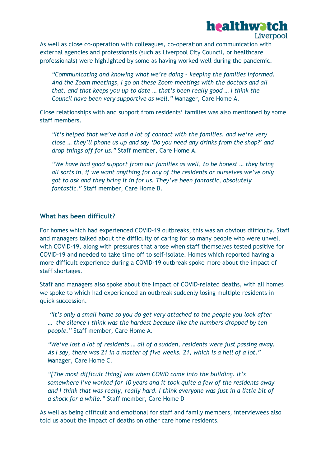#### healthwatch Liverpool

As well as close co-operation with colleagues, co-operation and communication with external agencies and professionals (such as Liverpool City Council, or healthcare professionals) were highlighted by some as having worked well during the pandemic.

*"Communicating and knowing what we're doing – keeping the families informed. And the Zoom meetings, I go on these Zoom meetings with the doctors and all that, and that keeps you up to date … that's been really good … I think the Council have been very supportive as well."* Manager, Care Home A.

Close relationships with and support from residents' families was also mentioned by some staff members.

*"It's helped that we've had a lot of contact with the families, and we're very close … they'll phone us up and say 'Do you need any drinks from the shop?' and drop things off for us."* Staff member, Care Home A.

*"We have had good support from our families as well, to be honest … they bring all sorts in, if we want anything for any of the residents or ourselves we've only got to ask and they bring it in for us. They've been fantastic, absolutely fantastic."* Staff member, Care Home B.

#### **What has been difficult?**

For homes which had experienced COVID-19 outbreaks, this was an obvious difficulty. Staff and managers talked about the difficulty of caring for so many people who were unwell with COVID-19, along with pressures that arose when staff themselves tested positive for COVID-19 and needed to take time off to self-isolate. Homes which reported having a more difficult experience during a COVID-19 outbreak spoke more about the impact of staff shortages.

Staff and managers also spoke about the impact of COVID-related deaths, with all homes we spoke to which had experienced an outbreak suddenly losing multiple residents in quick succession.

*"It's only a small home so you do get very attached to the people you look after … the silence I think was the hardest because like the numbers dropped by ten people."* Staff member, Care Home A.

*"We've lost a lot of residents … all of a sudden, residents were just passing away. As I say, there was 21 in a matter of five weeks. 21, which is a hell of a lot."*  Manager, Care Home C.

*"[The most difficult thing] was when COVID came into the building. It's somewhere I've worked for 10 years and it took quite a few of the residents away and I think that was really, really hard. I think everyone was just in a little bit of a shock for a while."* Staff member, Care Home D

As well as being difficult and emotional for staff and family members, interviewees also told us about the impact of deaths on other care home residents.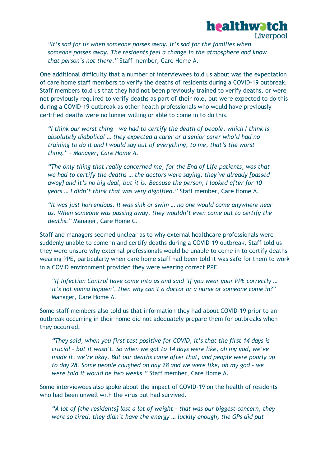

*"It's sad for us when someone passes away. It's sad for the families when someone passes away. The residents feel a change in the atmosphere and know that person's not there."* Staff member, Care Home A.

One additional difficulty that a number of interviewees told us about was the expectation of care home staff members to verify the deaths of residents during a COVID-19 outbreak. Staff members told us that they had not been previously trained to verify deaths, or were not previously required to verify deaths as part of their role, but were expected to do this during a COVID-19 outbreak as other health professionals who would have previously certified deaths were no longer willing or able to come in to do this.

*"I think our worst thing – we had to certify the death of people, which I think is absolutely diabolical … they expected a carer or a senior carer who'd had no training to do it and I would say out of everything, to me, that's the worst thing." – Manager, Care Home A.*

*"The only thing that really concerned me, for the End of Life patients, was that we had to certify the deaths … the doctors were saying, they've already [passed away] and it's no big deal, but it is. Because the person, I looked after for 10 years … I didn't think that was very dignified."* Staff member, Care Home A.

*"It was just horrendous. It was sink or swim … no one would come anywhere near us. When someone was passing away, they wouldn't even come out to certify the deaths."* Manager, Care Home C.

Staff and managers seemed unclear as to why external healthcare professionals were suddenly unable to come in and certify deaths during a COVID-19 outbreak. Staff told us they were unsure why external professionals would be unable to come in to certify deaths wearing PPE, particularly when care home staff had been told it was safe for them to work in a COVID environment provided they were wearing correct PPE.

*"If Infection Control have come into us and said 'If you wear your PPE correctly … it's not gonna happen', then why can't a doctor or a nurse or someone come in?"* Manager, Care Home A.

Some staff members also told us that information they had about COVID-19 prior to an outbreak occurring in their home did not adequately prepare them for outbreaks when they occurred.

*"They said, when you first test positive for COVID, it's that the first 14 days is crucial – but it wasn't. So when we got to 14 days were like, oh my god, we've made it, we're okay. But our deaths came after that, and people were poorly up to day 28. Some people coughed on day 28 and we were like, oh my god – we were told it would be two weeks."* Staff member, Care Home A.

Some interviewees also spoke about the impact of COVID-19 on the health of residents who had been unwell with the virus but had survived.

*"A lot of [the residents] lost a lot of weight – that was our biggest concern, they were so tired, they didn't have the energy … luckily enough, the GPs did put*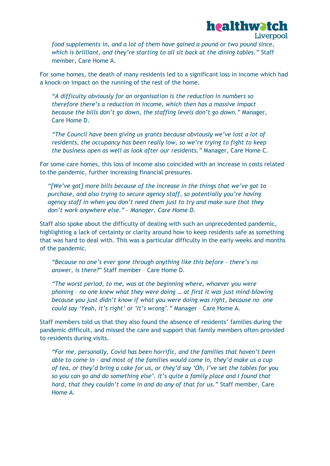

*food supplements in, and a lot of them have gained a pound or two pound since, which is brilliant, and they're starting to all sit back at the dining tables."* Staff member, Care Home A.

For some homes, the death of many residents led to a significant loss in income which had a knock-on impact on the running of the rest of the home.

*"A difficulty obviously for an organisation is the reduction in numbers so therefore there's a reduction in income, which then has a massive impact because the bills don't go down, the staffing levels don't go down."* Manager, Care Home D.

*"The Council have been giving us grants because obviously we've lost a lot of residents, the occupancy has been really low, so we're trying to fight to keep the business open as well as look after our residents."* Manager, Care Home C.

For some care homes, this loss of income also coincided with an increase in costs related to the pandemic, further increasing financial pressures.

*"[We've got] more bills because of the increase in the things that we've got to purchase, and also trying to secure agency staff, so potentially you're having agency staff in when you don't need them just to try and make sure that they don't work anywhere else." – Manager, Care Home D.*

Staff also spoke about the difficulty of dealing with such an unprecedented pandemic, highlighting a lack of certainty or clarity around how to keep residents safe as something that was hard to deal with. This was a particular difficulty in the early weeks and months of the pandemic.

*"Because no one's ever gone through anything like this before – there's no answer, is there?*" Staff member – Care Home D.

*"The worst period, to me, was at the beginning where, whoever you were phoning – no one knew what they were doing … at first it was just mind-blowing because you just didn't know if what you were doing was right, because no one could say 'Yeah, it's right' or 'It's wrong'."* Manager – Care Home A.

Staff members told us that they also found the absence of residents' families during the pandemic difficult, and missed the care and support that family members often provided to residents during visits.

*"For me, personally, Covid has been horrific, and the families that haven't been able to come in – and most of the families would come in, they'd make us a cup of tea, or they'd bring a cake for us, or they'd say 'Oh, I've set the tables for you so you can go and do something else'. It's quite a family place and I found that hard, that they couldn't come in and do any of that for us."* Staff member, Care Home A.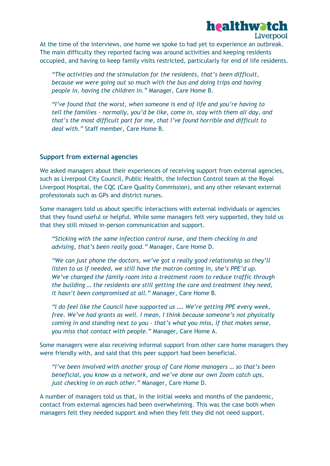#### healthwatch Liverpool

At the time of the interviews, one home we spoke to had yet to experience an outbreak. The main difficulty they reported facing was around activities and keeping residents occupied, and having to keep family visits restricted, particularly for end of life residents.

*"The activities and the stimulation for the residents, that's been difficult, because we were going out so much with the bus and doing trips and having people in, having the children in."* Manager, Care Home B.

*"I've found that the worst, when someone is end of life and you're having to tell the families – normally, you'd be like, come in, stay with them all day, and that's the most difficult part for me, that I've found horrible and difficult to deal with."* Staff member, Care Home B.

#### <span id="page-11-0"></span>**Support from external agencies**

We asked managers about their experiences of receiving support from external agencies, such as Liverpool City Council, Public Health, the Infection Control team at the Royal Liverpool Hospital, the CQC (Care Quality Commission), and any other relevant external professionals such as GPs and district nurses.

Some managers told us about specific interactions with external individuals or agencies that they found useful or helpful. While some managers felt very supported, they told us that they still missed in-person communication and support.

*"Sticking with the same infection control nurse, and them checking in and advising, that's been really good."* Manager, Care Home D.

*"We can just phone the doctors, we've got a really good relationship so they'll listen to us if needed, we still have the matron coming in, she's PPE'd up. We've changed the family room into a treatment room to reduce traffic through the building … the residents are still getting the care and treatment they need, it hasn't been compromised at all."* Manager, Care Home B.

*"I do feel like the Council have supported us …. We're getting PPE every week, free. We've had grants as well. I mean, I think because someone's not physically coming in and standing next to you – that's what you miss, if that makes sense, you miss that contact with people."* Manager, Care Home A.

Some managers were also receiving informal support from other care home managers they were friendly with, and said that this peer support had been beneficial.

*"I've been involved with another group of Care Home managers … so that's been beneficial, you know as a network, and we've done our own Zoom catch ups, just checking in on each other."* Manager, Care Home D.

A number of managers told us that, in the initial weeks and months of the pandemic, contact from external agencies had been overwhelming. This was the case both when managers felt they needed support and when they felt they did not need support.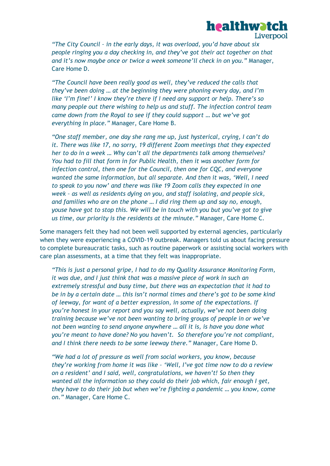

*"The City Council – in the early days, it was overload, you'd have about six people ringing you a day checking in, and they've got their act together on that and it's now maybe once or twice a week someone'll check in on you."* Manager, Care Home D.

*"The Council have been really good as well, they've reduced the calls that they've been doing … at the beginning they were phoning every day, and I'm like 'I'm fine!' I know they're there if I need any support or help. There's so many people out there wishing to help us and stuff. The infection control team came down from the Royal to see if they could support … but we've got everything in place."* Manager, Care Home B.

*"One staff member, one day she rang me up, just hysterical, crying, I can't do it. There was like 17, no sorry, 19 different Zoom meetings that they expected her to do in a week … Why can't all the departments talk among themselves? You had to fill that form in for Public Health, then it was another form for infection control, then one for the Council, then one for CQC, and everyone wanted the same information, but all separate. And then it was, 'Well, I need to speak to you now' and there was like 19 Zoom calls they expected in one week – as well as residents dying on you, and staff isolating, and people sick, and families who are on the phone … I did ring them up and say no, enough, youse have got to stop this. We will be in touch with you but you've got to give us time, our priority is the residents at the minute."* Manager, Care Home C.

Some managers felt they had not been well supported by external agencies, particularly when they were experiencing a COVID-19 outbreak. Managers told us about facing pressure to complete bureaucratic tasks, such as routine paperwork or assisting social workers with care plan assessments, at a time that they felt was inappropriate.

*"This is just a personal gripe, I had to do my Quality Assurance Monitoring Form, it was due, and I just think that was a massive piece of work in such an extremely stressful and busy time, but there was an expectation that it had to be in by a certain date … this isn't normal times and there's got to be some kind of leeway, for want of a better expression, in some of the expectations. If you're honest in your report and you say well, actually, we've not been doing training because we've not been wanting to bring groups of people in or we've not been wanting to send anyone anywhere … all it is, is have you done what you're meant to have done? No you haven't. So therefore you're not compliant, and I think there needs to be some leeway there."* Manager, Care Home D.

*"We had a lot of pressure as well from social workers, you know, because they're working from home it was like – 'Well, I've got time now to do a review on a resident' and I said, well, congratulations, we haven't! So then they wanted all the information so they could do their job which, fair enough I get, they have to do their job but when we're fighting a pandemic … you know, come on."* Manager, Care Home C.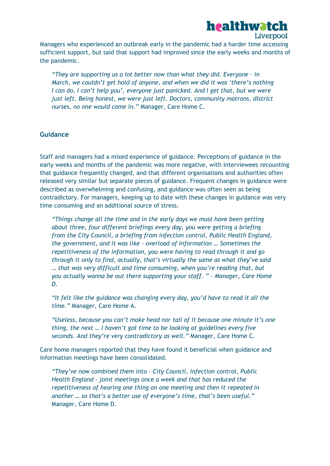

Managers who experienced an outbreak early in the pandemic had a harder time accessing sufficient support, but said that support had improved since the early weeks and months of the pandemic.

*"They are supporting us a lot better now than what they did. Everyone – in March, we couldn't get hold of anyone, and when we did it was 'there's nothing I can do, I can't help you', everyone just panicked. And I get that, but we were just left. Being honest, we were just left. Doctors, community matrons, district nurses, no one would come in."* Manager, Care Home C.

#### <span id="page-13-0"></span>**Guidance**

Staff and managers had a mixed experience of guidance. Perceptions of guidance in the early weeks and months of the pandemic was more negative, with interviewees recounting that guidance frequently changed, and that different organisations and authorities often released very similar but separate pieces of guidance. Frequent changes in guidance were described as overwhelming and confusing, and guidance was often seen as being contradictory. For managers, keeping up to date with these changes in guidance was very time consuming and an additional source of stress.

*"Things change all the time and in the early days we must have been getting about three, four different briefings every day, you were getting a briefing from the City Council, a briefing from infection control, Public Health England, the government, and it was like – overload of information … Sometimes the repetitiveness of the information, you were having to read through it and go through it only to find, actually, that's virtually the same as what they've said … that was very difficult and time consuming, when you're reading that, but you actually wanna be out there supporting your staff. " – Manager, Care Home D.*

*"It felt like the guidance was changing every day, you'd have to read it all the time."* Manager, Care Home A.

*"Useless, because you can't make head nor tail of it because one minute it's one thing, the next … I haven't got time to be looking at guidelines every five seconds. And they're very contradictory as well."* Manager, Care Home C.

Care home managers reported that they have found it beneficial when guidance and information meetings have been consolidated.

*"They've now combined them into – City Council, infection control, Public Health England – joint meetings once a week and that has reduced the repetitiveness of hearing one thing on one meeting and then it repeated in another … so that's a better use of everyone's time, that's been useful."*  Manager, Care Home D.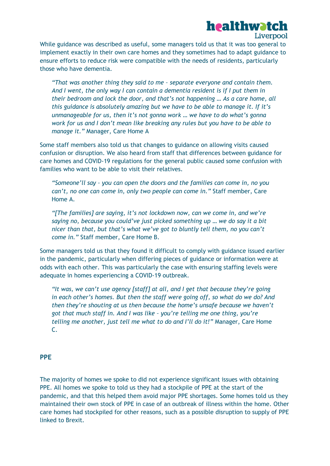## healthwatch

Liverpool

While guidance was described as useful, some managers told us that it was too general to implement exactly in their own care homes and they sometimes had to adapt guidance to ensure efforts to reduce risk were compatible with the needs of residents, particularly those who have dementia.

*"That was another thing they said to me – separate everyone and contain them. And I went, the only way I can contain a dementia resident is if I put them in their bedroom and lock the door, and that's not happening … As a care home, all this guidance is absolutely amazing but we have to be able to manage it. If it's unmanageable for us, then it's not gonna work … we have to do what's gonna work for us and I don't mean like breaking any rules but you have to be able to manage it."* Manager, Care Home A

Some staff members also told us that changes to guidance on allowing visits caused confusion or disruption. We also heard from staff that differences between guidance for care homes and COVID-19 regulations for the general public caused some confusion with families who want to be able to visit their relatives.

*"Someone'll say – you can open the doors and the families can come in, no you can't, no one can come in, only two people can come in."* Staff member, Care Home A.

*"[The families] are saying, it's not lockdown now, can we come in, and we're saying no, because you could've just picked something up … we do say it a bit nicer than that, but that's what we've got to bluntly tell them, no you can't come in."* Staff member, Care Home B.

Some managers told us that they found it difficult to comply with guidance issued earlier in the pandemic, particularly when differing pieces of guidance or information were at odds with each other. This was particularly the case with ensuring staffing levels were adequate in homes experiencing a COVID-19 outbreak.

*"It was, we can't use agency [staff] at all, and I get that because they're going in each other's homes. But then the staff were going off, so what do we do? And then they're shouting at us then because the home's unsafe because we haven't got that much staff in. And I was like – you're telling me one thing, you're telling me another, just tell me what to do and I'll do it!"* Manager, Care Home C.

#### <span id="page-14-0"></span>**PPE**

The majority of homes we spoke to did not experience significant issues with obtaining PPE. All homes we spoke to told us they had a stockpile of PPE at the start of the pandemic, and that this helped them avoid major PPE shortages. Some homes told us they maintained their own stock of PPE in case of an outbreak of illness within the home. Other care homes had stockpiled for other reasons, such as a possible disruption to supply of PPE linked to Brexit.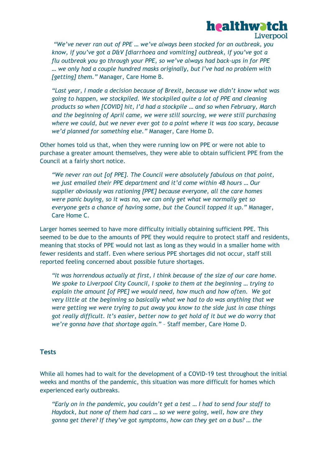

*"We've never ran out of PPE … we've always been stocked for an outbreak, you know, if you've got a D&V [diarrhoea and vomiting] outbreak, if you've got a flu outbreak you go through your PPE, so we've always had back-ups in for PPE … we only had a couple hundred masks originally, but I've had no problem with [getting] them."* Manager, Care Home B.

*"Last year, I made a decision because of Brexit, because we didn't know what was going to happen, we stockpiled. We stockpiled quite a lot of PPE and cleaning products so when [COVID] hit, I'd had a stockpile … and so when February, March and the beginning of April came, we were still sourcing, we were still purchasing where we could, but we never ever got to a point where it was too scary, because we'd planned for something else."* Manager, Care Home D.

Other homes told us that, when they were running low on PPE or were not able to purchase a greater amount themselves, they were able to obtain sufficient PPE from the Council at a fairly short notice.

*"We never ran out [of PPE]. The Council were absolutely fabulous on that point, we just emailed their PPE department and it'd come within 48 hours … Our supplier obviously was rationing [PPE] because everyone, all the care homes were panic buying, so it was no, we can only get what we normally get so everyone gets a chance of having some, but the Council topped it up."* Manager, Care Home C.

Larger homes seemed to have more difficulty initially obtaining sufficient PPE. This seemed to be due to the amounts of PPE they would require to protect staff and residents, meaning that stocks of PPE would not last as long as they would in a smaller home with fewer residents and staff. Even where serious PPE shortages did not occur, staff still reported feeling concerned about possible future shortages.

*"It was horrendous actually at first, I think because of the size of our care home. We spoke to Liverpool City Council, I spoke to them at the beginning … trying to explain the amount [of PPE] we would need, how much and how often. We got very little at the beginning so basically what we had to do was anything that we were getting we were trying to put away you know to the side just in case things got really difficult. It's easier, better now to get hold of it but we do worry that we're gonna have that shortage again."* – Staff member, Care Home D.

#### <span id="page-15-0"></span>**Tests**

While all homes had to wait for the development of a COVID-19 test throughout the initial weeks and months of the pandemic, this situation was more difficult for homes which experienced early outbreaks.

*"Early on in the pandemic, you couldn't get a test … I had to send four staff to Haydock, but none of them had cars … so we were going, well, how are they gonna get there? If they've got symptoms, how can they get on a bus? … the*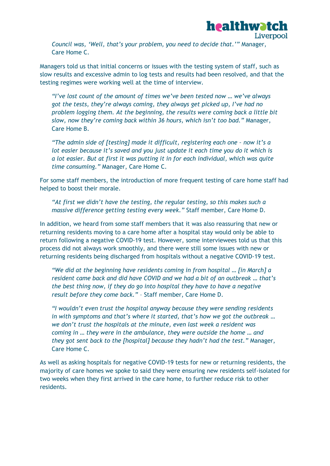

*Council was, 'Well, that's your problem, you need to decide that.'"* Manager, Care Home C.

Managers told us that initial concerns or issues with the testing system of staff, such as slow results and excessive admin to log tests and results had been resolved, and that the testing regimes were working well at the time of interview.

*"I've lost count of the amount of times we've been tested now … we've always got the tests, they're always coming, they always get picked up, I've had no problem logging them. At the beginning, the results were coming back a little bit slow, now they're coming back within 36 hours, which isn't too bad."* Manager, Care Home B.

*"The admin side of [testing] made it difficult, registering each one – now it's a lot easier because it's saved and you just update it each time you do it which is a lot easier. But at first it was putting it in for each individual, which was quite time consuming."* Manager, Care Home C.

For some staff members, the introduction of more frequent testing of care home staff had helped to boost their morale.

*"At first we didn't have the testing, the regular testing, so this makes such a massive difference getting testing every week."* Staff member, Care Home D.

In addition, we heard from some staff members that it was also reassuring that new or returning residents moving to a care home after a hospital stay would only be able to return following a negative COVID-19 test. However, some interviewees told us that this process did not always work smoothly, and there were still some issues with new or returning residents being discharged from hospitals without a negative COVID-19 test.

*"We did at the beginning have residents coming in from hospital … [in March] a resident came back and did have COVID and we had a bit of an outbreak … that's the best thing now, if they do go into hospital they have to have a negative result before they come back."* – Staff member, Care Home D.

*"I wouldn't even trust the hospital anyway because they were sending residents in with symptoms and that's where it started, that's how we got the outbreak* … *we don't trust the hospitals at the minute, even last week a resident was coming in … they were in the ambulance, they were outside the home … and they got sent back to the [hospital] because they hadn't had the test."* Manager, Care Home C.

As well as asking hospitals for negative COVID-19 tests for new or returning residents, the majority of care homes we spoke to said they were ensuring new residents self-isolated for two weeks when they first arrived in the care home, to further reduce risk to other residents.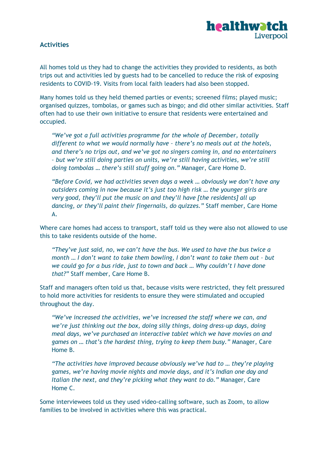

#### <span id="page-17-0"></span>**Activities**

All homes told us they had to change the activities they provided to residents, as both trips out and activities led by guests had to be cancelled to reduce the risk of exposing residents to COVID-19. Visits from local faith leaders had also been stopped.

Many homes told us they held themed parties or events; screened films; played music; organised quizzes, tombolas, or games such as bingo; and did other similar activities. Staff often had to use their own initiative to ensure that residents were entertained and occupied.

*"We've got a full activities programme for the whole of December, totally different to what we would normally have – there's no meals out at the hotels, and there's no trips out, and we've got no singers coming in, and no entertainers – but we're still doing parties on units, we're still having activities, we're still doing tombolas … there's still stuff going on."* Manager, Care Home D.

*"Before Covid, we had activities seven days a week … obviously we don't have any outsiders coming in now because it's just too high risk … the younger girls are very good, they'll put the music on and they'll have [the residents] all up dancing, or they'll paint their fingernails, do quizzes."* Staff member, Care Home A.

Where care homes had access to transport, staff told us they were also not allowed to use this to take residents outside of the home.

*"They've just said, no, we can't have the bus. We used to have the bus twice a month … I don't want to take them bowling, I don't want to take them out – but we could go for a bus ride, just to town and back … Why couldn't I have done that?"* Staff member, Care Home B.

Staff and managers often told us that, because visits were restricted, they felt pressured to hold more activities for residents to ensure they were stimulated and occupied throughout the day.

*"We've increased the activities, we've increased the staff where we can, and we're just thinking out the box, doing silly things, doing dress-up days, doing meal days, we've purchased an interactive tablet which we have movies on and games on … that's the hardest thing, trying to keep them busy."* Manager, Care Home B.

*"The activities have improved because obviously we've had to … they're playing games, we're having movie nights and movie days, and it's Indian one day and Italian the next, and they're picking what they want to do."* Manager, Care Home C.

Some interviewees told us they used video-calling software, such as Zoom, to allow families to be involved in activities where this was practical.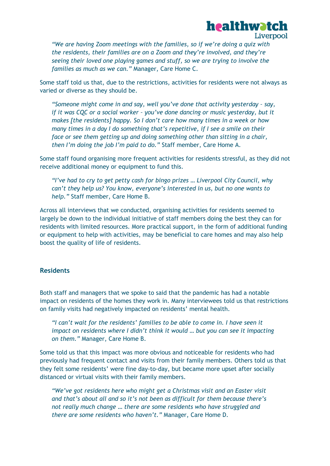

*"We are having Zoom meetings with the families, so if we're doing a quiz with the residents, their families are on a Zoom and they're involved, and they're seeing their loved one playing games and stuff, so we are trying to involve the families as much as we can."* Manager, Care Home C.

Some staff told us that, due to the restrictions, activities for residents were not always as varied or diverse as they should be.

*"Someone might come in and say, well you've done that activity yesterday – say, if it was CQC or a social worker – you've done dancing or music yesterday, but it makes [the residents] happy. So I don't care how many times in a week or how many times in a day I do something that's repetitive, if I see a smile on their face or see them getting up and doing something other than sitting in a chair, then I'm doing the job I'm paid to do."* Staff member, Care Home A.

Some staff found organising more frequent activities for residents stressful, as they did not receive additional money or equipment to fund this.

*"I've had to cry to get petty cash for bingo prizes … Liverpool City Council, why can't they help us? You know, everyone's interested in us, but no one wants to help."* Staff member, Care Home B.

Across all interviews that we conducted, organising activities for residents seemed to largely be down to the individual initiative of staff members doing the best they can for residents with limited resources. More practical support, in the form of additional funding or equipment to help with activities, may be beneficial to care homes and may also help boost the quality of life of residents.

#### <span id="page-18-0"></span>**Residents**

Both staff and managers that we spoke to said that the pandemic has had a notable impact on residents of the homes they work in. Many interviewees told us that restrictions on family visits had negatively impacted on residents' mental health.

*"I can't wait for the residents' families to be able to come in. I have seen it impact on residents where I didn't think it would … but you can see it impacting on them."* Manager, Care Home B.

Some told us that this impact was more obvious and noticeable for residents who had previously had frequent contact and visits from their family members. Others told us that they felt some residents' were fine day-to-day, but became more upset after socially distanced or virtual visits with their family members.

*"We've got residents here who might get a Christmas visit and an Easter visit and that's about all and so it's not been as difficult for them because there's not really much change … there are some residents who have struggled and there are some residents who haven't."* Manager, Care Home D.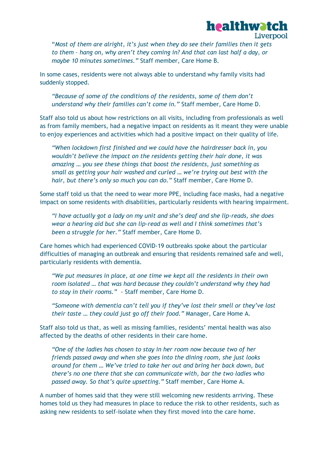

"*Most of them are alright, it's just when they do see their families then it gets to them – hang on, why aren't they coming in? And that can last half a day, or maybe 10 minutes sometimes."* Staff member, Care Home B.

In some cases, residents were not always able to understand why family visits had suddenly stopped.

*"Because of some of the conditions of the residents, some of them don't understand why their families can't come in."* Staff member, Care Home D.

Staff also told us about how restrictions on all visits, including from professionals as well as from family members, had a negative impact on residents as it meant they were unable to enjoy experiences and activities which had a positive impact on their quality of life.

*"When lockdown first finished and we could have the hairdresser back in, you wouldn't believe the impact on the residents getting their hair done, it was amazing … you see these things that boost the residents, just something as small as getting your hair washed and curled … we're trying out best with the hair, but there's only so much you can do."* Staff member, Care Home D.

Some staff told us that the need to wear more PPE, including face masks, had a negative impact on some residents with disabilities, particularly residents with hearing impairment.

*"I have actually got a lady on my unit and she's deaf and she lip-reads, she does wear a hearing aid but she can lip-read as well and I think sometimes that's been a struggle for her."* Staff member, Care Home D.

Care homes which had experienced COVID-19 outbreaks spoke about the particular difficulties of managing an outbreak and ensuring that residents remained safe and well, particularly residents with dementia.

*"We put measures in place, at one time we kept all the residents in their own room isolated … that was hard because they couldn't understand why they had to stay in their rooms."* - Staff member, Care Home D.

*"Someone with dementia can't tell you if they've lost their smell or they've lost their taste … they could just go off their food."* Manager, Care Home A.

Staff also told us that, as well as missing families, residents' mental health was also affected by the deaths of other residents in their care home.

*"One of the ladies has chosen to stay in her room now because two of her friends passed away and when she goes into the dining room, she just looks around for them … We've tried to take her out and bring her back down, but there's no one there that she can communicate with, bar the two ladies who passed away. So that's quite upsetting."* Staff member, Care Home A.

A number of homes said that they were still welcoming new residents arriving. These homes told us they had measures in place to reduce the risk to other residents, such as asking new residents to self-isolate when they first moved into the care home.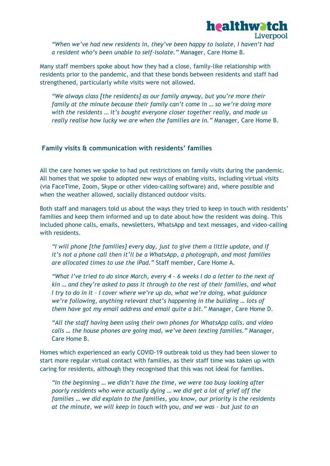

*"When we've had new residents in, they've been happy to isolate, I haven't had a resident who's been unable to self-isolate."* Manager, Care Home B.

Many staff members spoke about how they had a close, family-like relationship with residents prior to the pandemic, and that these bonds between residents and staff had strengthened, particularly while visits were not allowed.

*"We always class [the residents] as our family anyway, but you're more their family at the minute because their family can't come in … so we're doing more with the residents … it's bought everyone closer together really, and made us really realise how lucky we are when the families are in."* Manager, Care Home B.

#### <span id="page-20-0"></span>**Family visits & communication with residents' families**

All the care homes we spoke to had put restrictions on family visits during the pandemic. All homes that we spoke to adopted new ways of enabling visits, including virtual visits (via FaceTime, Zoom, Skype or other video-calling software) and, where possible and when the weather allowed, socially distanced outdoor visits.

Both staff and managers told us about the ways they tried to keep in touch with residents' families and keep them informed and up to date about how the resident was doing. This included phone calls, emails, newsletters, WhatsApp and text messages, and video-calling with residents.

*"I will phone [the families] every day, just to give them a little update, and if it's not a phone call then it'll be a WhatsApp, a photograph, and most families are allocated times to use the iPad."* Staff member, Care Home A.

*"What I've tried to do since March, every 4 – 6 weeks I do a letter to the next of kin … and they're asked to pass it through to the rest of their families, and what I try to do in it – I cover where we're up do, what we're doing, what guidance we're following, anything relevant that's happening in the building … lots of them have got my email address and email quite a bit."* Manager, Care Home D.

*"All the staff having been using their own phones for WhatsApp calls, and video calls … the house phones are going mad, we've been texting families."* Manager, Care Home B.

Homes which experienced an early COVID-19 outbreak told us they had been slower to start more regular virtual contact with families, as their staff time was taken up with caring for residents, although they recognised that this was not ideal for families.

*"In the beginning … we didn't have the time, we were too busy looking after poorly residents who were actually dying … we did get a lot of grief off the families … we did explain to the families, you know, our priority is the residents at the minute, we will keep in touch with you, and we was - but just to an*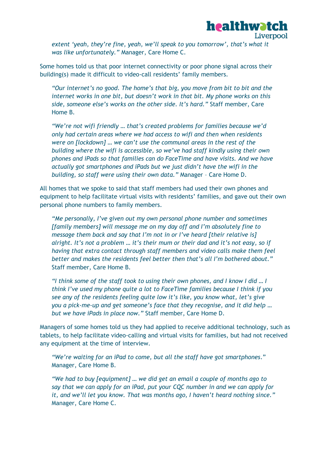

*extent 'yeah, they're fine, yeah, we'll speak to you tomorrow', that's what it was like unfortunately."* Manager, Care Home C.

Some homes told us that poor internet connectivity or poor phone signal across their building(s) made it difficult to video-call residents' family members.

*"Our internet's no good. The home's that big, you move from bit to bit and the internet works in one bit, but doesn't work in that bit. My phone works on this side, someone else's works on the other side. It's hard."* Staff member, Care Home B.

*"We're not wifi friendly … that's created problems for families because we'd only had certain areas where we had access to wifi and then when residents were on [lockdown] … we can't use the communal areas in the rest of the building where the wifi is accessible, so we've had staff kindly using their own phones and iPads so that families can do FaceTime and have visits. And we have actually got smartphones and iPads but we just didn't have the wifi in the building, so staff were using their own data."* Manager – Care Home D.

All homes that we spoke to said that staff members had used their own phones and equipment to help facilitate virtual visits with residents' families, and gave out their own personal phone numbers to family members.

*"Me personally, I've given out my own personal phone number and sometimes [family members] will message me on my day off and I'm absolutely fine to message them back and say that I'm not in or I've heard [their relative is] alright. It's not a problem … it's their mum or their dad and it's not easy, so if having that extra contact through staff members and video calls make them feel better and makes the residents feel better then that's all I'm bothered about."*  Staff member, Care Home B.

*"I think some of the staff took to using their own phones, and I know I did … I think I've used my phone quite a lot to FaceTime families because I think if you see any of the residents feeling quite low it's like, you know what, let's give you a pick-me-up and get someone's face that they recognise, and it did help … but we have iPads in place now."* Staff member, Care Home D.

Managers of some homes told us they had applied to receive additional technology, such as tablets, to help facilitate video-calling and virtual visits for families, but had not received any equipment at the time of interview.

*"We're waiting for an iPad to come, but all the staff have got smartphones*." Manager, Care Home B.

*"We had to buy [equipment] … we did get an email a couple of months ago to say that we can apply for an iPad, put your CQC number in and we can apply for it, and we'll let you know. That was months ago, I haven't heard nothing since."* Manager, Care Home C.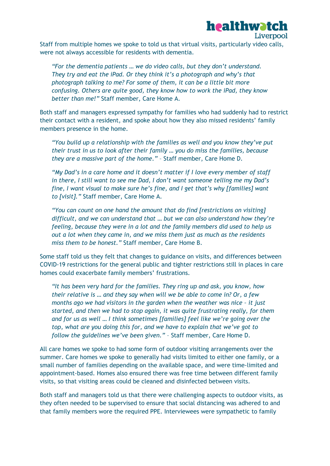#### healthwatch Liverpool

Staff from multiple homes we spoke to told us that virtual visits, particularly video calls, were not always accessible for residents with dementia.

*"For the dementia patients … we do video calls, but they don't understand. They try and eat the iPad. Or they think it's a photograph and why's that photograph talking to me? For some of them, it can be a little bit more confusing. Others are quite good, they know how to work the iPad, they know better than me!"* Staff member, Care Home A.

Both staff and managers expressed sympathy for families who had suddenly had to restrict their contact with a resident, and spoke about how they also missed residents' family members presence in the home.

*"You build up a relationship with the families as well and you know they've put their trust in us to look after their family … you do miss the families, because they are a massive part of the home."* – Staff member, Care Home D.

*"My Dad's in a care home and it doesn't matter if I love every member of staff in there, I still want to see me Dad, I don't want someone telling me my Dad's fine, I want visual to make sure he's fine, and I get that's why [families] want to [visit]."* Staff member, Care Home A.

*"You can count on one hand the amount that do find [restrictions on visiting] difficult, and we can understand that … but we can also understand how they're feeling, because they were in a lot and the family members did used to help us out a lot when they came in, and we miss them just as much as the residents miss them to be honest."* Staff member, Care Home B.

Some staff told us they felt that changes to guidance on visits, and differences between COVID-19 restrictions for the general public and tighter restrictions still in places in care homes could exacerbate family members' frustrations.

*"It has been very hard for the families. They ring up and ask, you know, how their relative is … and they say when will we be able to come in? Or, a few months ago we had visitors in the garden when the weather was nice – it just started, and then we had to stop again, it was quite frustrating really, for them and for us as well … I think sometimes [families] feel like we're going over the top, what are you doing this for, and we have to explain that we've got to follow the guidelines we've been given."* – Staff member, Care Home D.

All care homes we spoke to had some form of outdoor visiting arrangements over the summer. Care homes we spoke to generally had visits limited to either one family, or a small number of families depending on the available space, and were time-limited and appointment-based. Homes also ensured there was free time between different family visits, so that visiting areas could be cleaned and disinfected between visits.

Both staff and managers told us that there were challenging aspects to outdoor visits, as they often needed to be supervised to ensure that social distancing was adhered to and that family members wore the required PPE. Interviewees were sympathetic to family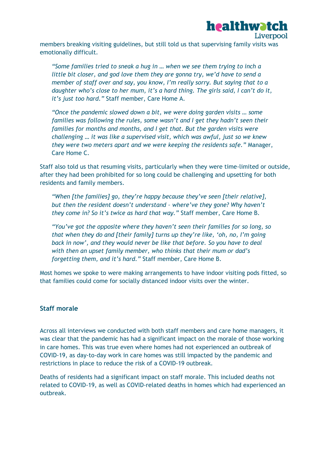

members breaking visiting guidelines, but still told us that supervising family visits was emotionally difficult.

*"Some families tried to sneak a hug in … when we see them trying to inch a little bit closer, and god love them they are gonna try, we'd have to send a member of staff over and say, you know, I'm really sorry. But saying that to a daughter who's close to her mum, it's a hard thing. The girls said, I can't do it, it's just too hard."* Staff member, Care Home A.

*"Once the pandemic slowed down a bit, we were doing garden visits … some families was following the rules, some wasn't and I get they hadn't seen their families for months and months, and I get that. But the garden visits were challenging … it was like a supervised visit, which was awful, just so we knew they were two meters apart and we were keeping the residents safe."* Manager, Care Home C.

Staff also told us that resuming visits, particularly when they were time-limited or outside, after they had been prohibited for so long could be challenging and upsetting for both residents and family members.

*"When [the families] go, they're happy because they've seen [their relative], but then the resident doesn't understand – where've they gone? Why haven't they come in? So it's twice as hard that way."* Staff member, Care Home B.

*"You've got the opposite where they haven't seen their families for so long, so that when they do and [their family] turns up they're like, 'oh, no, I'm going back in now', and they would never be like that before. So you have to deal with then an upset family member, who thinks that their mum or dad's forgetting them, and it's hard."* Staff member, Care Home B.

Most homes we spoke to were making arrangements to have indoor visiting pods fitted, so that families could come for socially distanced indoor visits over the winter.

#### <span id="page-23-0"></span>**Staff morale**

Across all interviews we conducted with both staff members and care home managers, it was clear that the pandemic has had a significant impact on the morale of those working in care homes. This was true even where homes had not experienced an outbreak of COVID-19, as day-to-day work in care homes was still impacted by the pandemic and restrictions in place to reduce the risk of a COVID-19 outbreak.

Deaths of residents had a significant impact on staff morale. This included deaths not related to COVID-19, as well as COVID-related deaths in homes which had experienced an outbreak.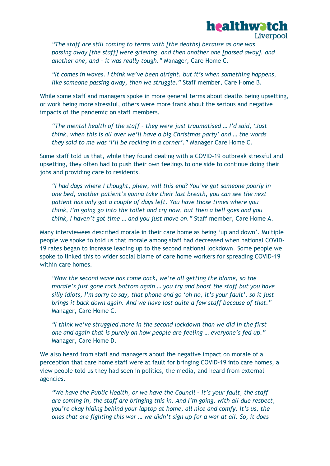

*"The staff are still coming to terms with [the deaths] because as one was passing away [the staff] were grieving, and then another one [passed away], and another one, and – it was really tough."* Manager, Care Home C.

*"It comes in waves. I think we've been alright, but it's when something happens, like someone passing away, then we struggle."* Staff member, Care Home B.

While some staff and managers spoke in more general terms about deaths being upsetting, or work being more stressful, others were more frank about the serious and negative impacts of the pandemic on staff members.

*"The mental health of the staff – they were just traumatised … I'd said, 'Just think, when this is all over we'll have a big Christmas party' and … the words they said to me was 'I'll be rocking in a corner'."* Manager Care Home C.

Some staff told us that, while they found dealing with a COVID-19 outbreak stressful and upsetting, they often had to push their own feelings to one side to continue doing their jobs and providing care to residents.

*"I had days where I thought, phew, will this end? You've got someone poorly in one bed, another patient's gonna take their last breath, you can see the next patient has only got a couple of days left. You have those times where you think, I'm going go into the toilet and cry now, but then a bell goes and you think, I haven't got time … and you just move on."* Staff member, Care Home A.

Many interviewees described morale in their care home as being 'up and down'. Multiple people we spoke to told us that morale among staff had decreased when national COVID-19 rates began to increase leading up to the second national lockdown. Some people we spoke to linked this to wider social blame of care home workers for spreading COVID-19 within care homes.

*"Now the second wave has come back, we're all getting the blame, so the morale's just gone rock bottom again … you try and boost the staff but you have silly idiots, I'm sorry to say, that phone and go 'oh no, it's your fault', so it just brings it back down again. And we have lost quite a few staff because of that."*  Manager, Care Home C.

*"I think we've struggled more in the second lockdown than we did in the first one and again that is purely on how people are feeling … everyone's fed up."* Manager, Care Home D.

We also heard from staff and managers about the negative impact on morale of a perception that care home staff were at fault for bringing COVID-19 into care homes, a view people told us they had seen in politics, the media, and heard from external agencies.

*"We have the Public Health, or we have the Council – it's your fault, the staff are coming in, the staff are bringing this in. And I'm going, with all due respect, you're okay hiding behind your laptop at home, all nice and comfy. It's us, the ones that are fighting this war … we didn't sign up for a war at all. So, it does*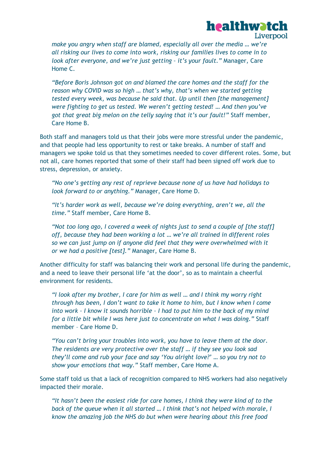

**healthwatch** 

*"Before Boris Johnson got on and blamed the care homes and the staff for the reason why COVID was so high … that's why, that's when we started getting tested every week, was because he said that. Up until then [the management] were fighting to get us tested. We weren't getting tested! … And then you've got that great big melon on the telly saying that it's our fault!"* Staff member, Care Home B.

Both staff and managers told us that their jobs were more stressful under the pandemic, and that people had less opportunity to rest or take breaks. A number of staff and managers we spoke told us that they sometimes needed to cover different roles. Some, but not all, care homes reported that some of their staff had been signed off work due to stress, depression, or anxiety.

*"No one's getting any rest of reprieve because none of us have had holidays to look forward to or anything."* Manager, Care Home D.

*"It's harder work as well, because we're doing everything, aren't we, all the time."* Staff member, Care Home B.

*"Not too long ago, I covered a week of nights just to send a couple of [the staff] off, because they had been working a lot ... we're all trained in different roles so we can just jump on if anyone did feel that they were overwhelmed with it or we had a positive [test]."* Manager, Care Home B.

Another difficulty for staff was balancing their work and personal life during the pandemic, and a need to leave their personal life 'at the door', so as to maintain a cheerful environment for residents.

*"I look after my brother, I care for him as well … and I think my worry right through has been, I don't want to take it home to him, but I know when I come into work – I know it sounds horrible – I had to put him to the back of my mind for a little bit while I was here just to concentrate on what I was doing."* Staff member – Care Home D.

*"You can't bring your troubles into work, you have to leave them at the door. The residents are very protective over the staff … if they see you look sad they'll come and rub your face and say 'You alright love?' … so you try not to show your emotions that way."* Staff member, Care Home A.

Some staff told us that a lack of recognition compared to NHS workers had also negatively impacted their morale.

*"It hasn't been the easiest ride for care homes, I think they were kind of to the*  back of the queue when it all started ... I think that's not helped with morale, I *know the amazing job the NHS do but when were hearing about this free food*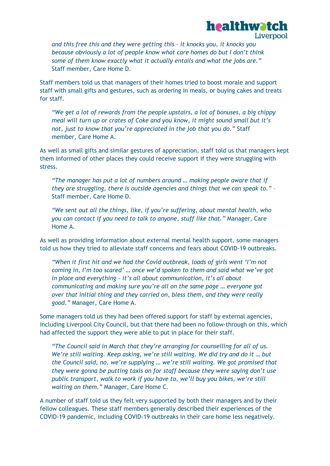

*and this free this and they were getting this – it knocks you, it knocks you because obviously a lot of people know what care homes do but I don't think some of them know exactly what it actually entails and what the jobs are."* Staff member, Care Home D.

Staff members told us that managers of their homes tried to boost morale and support staff with small gifts and gestures, such as ordering in meals, or buying cakes and treats for staff.

*"We get a lot of rewards from the people upstairs, a lot of bonuses, a big chippy meal will turn up or crates of Coke and you know, it might sound small but it's not, just to know that you're appreciated in the job that you do."* Staff member, Care Home A.

As well as small gifts and similar gestures of appreciation, staff told us that managers kept them informed of other places they could receive support if they were struggling with stress.

*"The manager has put a lot of numbers around … making people aware that if they are struggling, there is outside agencies and things that we can speak to."* – Staff member, Care Home D.

*"We sent out all the things, like, if you're suffering, about mental health, who you can contact if you need to talk to anyone, stuff like that."* Manager, Care Home A.

As well as providing information about external mental health support, some managers told us how they tried to alleviate staff concerns and fears about COVID-19 outbreaks.

*"When it first hit and we had the Covid outbreak, loads of girls went 'I'm not coming in, I'm too scared' … once we'd spoken to them and said what we've got in place and everything – it's all about communication, it's all about communicating and making sure you're all on the same page … everyone got over that initial thing and they carried on, bless them, and they were really good."* Manager, Care Home A.

Some managers told us they had been offered support for staff by external agencies, including Liverpool City Council, but that there had been no follow-through on this, which had affected the support they were able to put in place for their staff.

*"The Council said in March that they're arranging for counselling for all of us. We're still waiting. Keep asking, we're still waiting. We did try and do it … but the Council said, no, we're supplying … we're still waiting. We got promised that they were gonna be putting taxis on for staff because they were saying don't use public transport, walk to work if you have to, we'll buy you bikes, we're still waiting on them."* Manager, Care Home C.

A number of staff told us they felt very supported by both their managers and by their fellow colleagues. These staff members generally described their experiences of the COVID-19 pandemic, including COVID-19 outbreaks in their care home less negatively.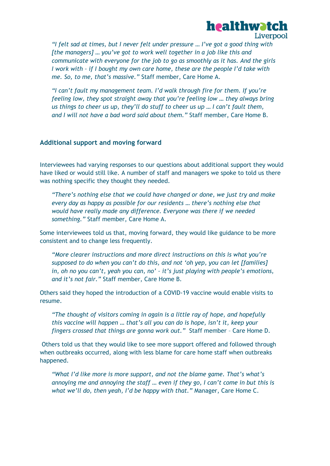

*"I felt sad at times, but I never felt under pressure … I've got a good thing with [the managers] … you've got to work well together in a job like this and communicate with everyone for the job to go as smoothly as it has. And the girls I work with – if I bought my own care home, these are the people I'd take with me. So, to me, that's massive."* Staff member, Care Home A.

*"I can't fault my management team. I'd walk through fire for them. If you're feeling low, they spot straight away that you're feeling low … they always bring us things to cheer us up, they'll do stuff to cheer us up … I can't fault them, and I will not have a bad word said about them."* Staff member, Care Home B.

#### <span id="page-27-0"></span>**Additional support and moving forward**

Interviewees had varying responses to our questions about additional support they would have liked or would still like. A number of staff and managers we spoke to told us there was nothing specific they thought they needed.

*"There's nothing else that we could have changed or done, we just try and make every day as happy as possible for our residents … there's nothing else that would have really made any difference. Everyone was there if we needed something."* Staff member, Care Home A.

Some interviewees told us that, moving forward, they would like guidance to be more consistent and to change less frequently.

*"More clearer instructions and more direct instructions on this is what you're supposed to do when you can't do this, and not 'oh yep, you can let [families] in, oh no you can't, yeah you can, no' – it's just playing with people's emotions, and it's not fair."* Staff member, Care Home B.

Others said they hoped the introduction of a COVID-19 vaccine would enable visits to resume.

*"The thought of visitors coming in again is a little ray of hope, and hopefully this vaccine will happen … that's all you can do is hope, isn't it, keep your fingers crossed that things are gonna work out."* Staff member – Care Home D.

Others told us that they would like to see more support offered and followed through when outbreaks occurred, along with less blame for care home staff when outbreaks happened.

*"What I'd like more is more support, and not the blame game. That's what's annoying me and annoying the staff … even if they go, I can't come in but this is what we'll do, then yeah, I'd be happy with that."* Manager, Care Home C.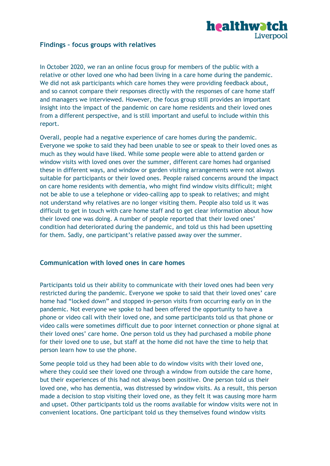

#### <span id="page-28-0"></span>**Findings – focus groups with relatives**

In October 2020, we ran an online focus group for members of the public with a relative or other loved one who had been living in a care home during the pandemic. We did not ask participants which care homes they were providing feedback about, and so cannot compare their responses directly with the responses of care home staff and managers we interviewed. However, the focus group still provides an important insight into the impact of the pandemic on care home residents and their loved ones from a different perspective, and is still important and useful to include within this report.

Overall, people had a negative experience of care homes during the pandemic. Everyone we spoke to said they had been unable to see or speak to their loved ones as much as they would have liked. While some people were able to attend garden or window visits with loved ones over the summer, different care homes had organised these in different ways, and window or garden visiting arrangements were not always suitable for participants or their loved ones. People raised concerns around the impact on care home residents with dementia, who might find window visits difficult; might not be able to use a telephone or video-calling app to speak to relatives; and might not understand why relatives are no longer visiting them. People also told us it was difficult to get in touch with care home staff and to get clear information about how their loved one was doing. A number of people reported that their loved ones' condition had deteriorated during the pandemic, and told us this had been upsetting for them. Sadly, one participant's relative passed away over the summer.

#### <span id="page-28-1"></span>**Communication with loved ones in care homes**

Participants told us their ability to communicate with their loved ones had been very restricted during the pandemic. Everyone we spoke to said that their loved ones' care home had "locked down" and stopped in-person visits from occurring early on in the pandemic. Not everyone we spoke to had been offered the opportunity to have a phone or video call with their loved one, and some participants told us that phone or video calls were sometimes difficult due to poor internet connection or phone signal at their loved ones' care home. One person told us they had purchased a mobile phone for their loved one to use, but staff at the home did not have the time to help that person learn how to use the phone.

Some people told us they had been able to do window visits with their loved one, where they could see their loved one through a window from outside the care home, but their experiences of this had not always been positive. One person told us their loved one, who has dementia, was distressed by window visits. As a result, this person made a decision to stop visiting their loved one, as they felt it was causing more harm and upset. Other participants told us the rooms available for window visits were not in convenient locations. One participant told us they themselves found window visits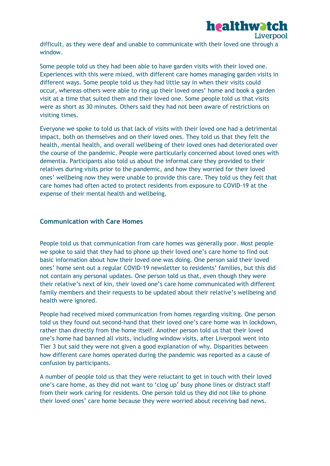

Some people told us they had been able to have garden visits with their loved one. Experiences with this were mixed, with different care homes managing garden visits in different ways. Some people told us they had little say in when their visits could occur, whereas others were able to ring up their loved ones' home and book a garden visit at a time that suited them and their loved one. Some people told us that visits were as short as 30 minutes. Others said they had not been aware of restrictions on visiting times.

Everyone we spoke to told us that lack of visits with their loved one had a detrimental impact, both on themselves and on their loved ones. They told us that they felt the health, mental health, and overall wellbeing of their loved ones had deteriorated over the course of the pandemic. People were particularly concerned about loved ones with dementia. Participants also told us about the informal care they provided to their relatives during visits prior to the pandemic, and how they worried for their loved ones' wellbeing now they were unable to provide this care. They told us they felt that care homes had often acted to protect residents from exposure to COVID-19 at the expense of their mental health and wellbeing.

#### <span id="page-29-0"></span>**Communication with Care Homes**

People told us that communication from care homes was generally poor. Most people we spoke to said that they had to phone up their loved one's care home to find out basic information about how their loved one was doing. One person said their loved ones' home sent out a regular COVID-19 newsletter to residents' families, but this did not contain any personal updates. One person told us that, even though they were their relative's next of kin, their loved one's care home communicated with different family members and their requests to be updated about their relative's wellbeing and health were ignored.

People had received mixed communication from homes regarding visiting. One person told us they found out second-hand that their loved one's care home was in lockdown, rather than directly from the home itself. Another person told us that their loved one's home had banned all visits, including window visits, after Liverpool went into Tier 3 but said they were not given a good explanation of why. Disparities between how different care homes operated during the pandemic was reported as a cause of confusion by participants.

A number of people told us that they were reluctant to get in touch with their loved one's care home, as they did not want to 'clog up' busy phone lines or distract staff from their work caring for residents. One person told us they did not like to phone their loved ones' care home because they were worried about receiving bad news.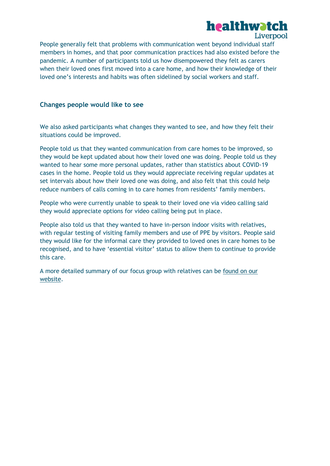

People generally felt that problems with communication went beyond individual staff members in homes, and that poor communication practices had also existed before the pandemic. A number of participants told us how disempowered they felt as carers when their loved ones first moved into a care home, and how their knowledge of their loved one's interests and habits was often sidelined by social workers and staff.

#### <span id="page-30-0"></span>**Changes people would like to see**

We also asked participants what changes they wanted to see, and how they felt their situations could be improved.

People told us that they wanted communication from care homes to be improved, so they would be kept updated about how their loved one was doing. People told us they wanted to hear some more personal updates, rather than statistics about COVID-19 cases in the home. People told us they would appreciate receiving regular updates at set intervals about how their loved one was doing, and also felt that this could help reduce numbers of calls coming in to care homes from residents' family members.

People who were currently unable to speak to their loved one via video calling said they would appreciate options for video calling being put in place.

People also told us that they wanted to have in-person indoor visits with relatives, with regular testing of visiting family members and use of PPE by visitors. People said they would like for the informal care they provided to loved ones in care homes to be recognised, and to have 'essential visitor' status to allow them to continue to provide this care.

A more detailed summary of our focus group with relatives can be [found on our](https://healthwatchliverpool.co.uk/report/2020-11-17/focus-group-mini-report-care-homes)  [website.](https://healthwatchliverpool.co.uk/report/2020-11-17/focus-group-mini-report-care-homes)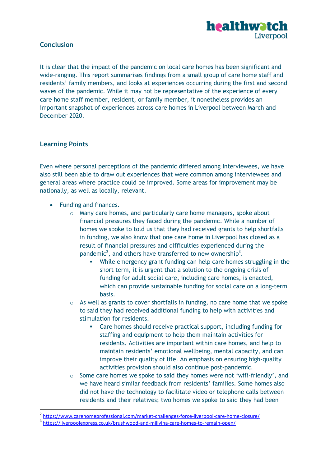

#### <span id="page-31-0"></span>**Conclusion**

It is clear that the impact of the pandemic on local care homes has been significant and wide-ranging. This report summarises findings from a small group of care home staff and residents' family members, and looks at experiences occurring during the first and second waves of the pandemic. While it may not be representative of the experience of every care home staff member, resident, or family member, it nonetheless provides an important snapshot of experiences across care homes in Liverpool between March and December 2020.

#### <span id="page-31-1"></span>**Learning Points**

1

Even where personal perceptions of the pandemic differed among interviewees, we have also still been able to draw out experiences that were common among interviewees and general areas where practice could be improved. Some areas for improvement may be nationally, as well as locally, relevant.

- Funding and finances.
	- o Many care homes, and particularly care home managers, spoke about financial pressures they faced during the pandemic. While a number of homes we spoke to told us that they had received grants to help shortfalls in funding, we also know that one care home in Liverpool has closed as a result of financial pressures and difficulties experienced during the pandemic<sup>2</sup>, and others have transferred to new ownership<sup>3</sup>.
		- While emergency grant funding can help care homes struggling in the short term, it is urgent that a solution to the ongoing crisis of funding for adult social care, including care homes, is enacted, which can provide sustainable funding for social care on a long-term basis.
	- $\circ$  As well as grants to cover shortfalls in funding, no care home that we spoke to said they had received additional funding to help with activities and stimulation for residents.
		- Care homes should receive practical support, including funding for staffing and equipment to help them maintain activities for residents. Activities are important within care homes, and help to maintain residents' emotional wellbeing, mental capacity, and can improve their quality of life. An emphasis on ensuring high-quality activities provision should also continue post-pandemic.
	- $\circ$  Some care homes we spoke to said they homes were not 'wifi-friendly', and we have heard similar feedback from residents' families. Some homes also did not have the technology to facilitate video or telephone calls between residents and their relatives; two homes we spoke to said they had been

<sup>&</sup>lt;sup>2</sup> <https://www.carehomeprofessional.com/market-challenges-force-liverpool-care-home-closure/>

<sup>&</sup>lt;sup>3</sup> <https://liverpoolexpress.co.uk/brushwood-and-millvina-care-homes-to-remain-open/>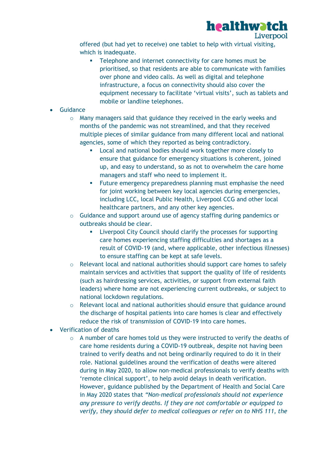

offered (but had yet to receive) one tablet to help with virtual visiting, which is inadequate.

- **Telephone and internet connectivity for care homes must be** prioritised, so that residents are able to communicate with families over phone and video calls. As well as digital and telephone infrastructure, a focus on connectivity should also cover the equipment necessary to facilitate 'virtual visits', such as tablets and mobile or landline telephones.
- Guidance
	- o Many managers said that guidance they received in the early weeks and months of the pandemic was not streamlined, and that they received multiple pieces of similar guidance from many different local and national agencies, some of which they reported as being contradictory.
		- **EXEC** Local and national bodies should work together more closely to ensure that guidance for emergency situations is coherent, joined up, and easy to understand, so as not to overwhelm the care home managers and staff who need to implement it.
		- **Future emergency preparedness planning must emphasise the need** for joint working between key local agencies during emergencies, including LCC, local Public Health, Liverpool CCG and other local healthcare partners, and any other key agencies.
	- o Guidance and support around use of agency staffing during pandemics or outbreaks should be clear.
		- **EXECT:** Liverpool City Council should clarify the processes for supporting care homes experiencing staffing difficulties and shortages as a result of COVID-19 (and, where applicable, other infectious illnesses) to ensure staffing can be kept at safe levels.
	- o Relevant local and national authorities should support care homes to safely maintain services and activities that support the quality of life of residents (such as hairdressing services, activities, or support from external faith leaders) where home are not experiencing current outbreaks, or subject to national lockdown regulations.
	- o Relevant local and national authorities should ensure that guidance around the discharge of hospital patients into care homes is clear and effectively reduce the risk of transmission of COVID-19 into care homes.
- Verification of deaths
	- $\circ$  A number of care homes told us they were instructed to verify the deaths of care home residents during a COVID-19 outbreak, despite not having been trained to verify deaths and not being ordinarily required to do it in their role. National guidelines around the verification of deaths were altered during in May 2020, to allow non-medical professionals to verify deaths with 'remote clinical support', to help avoid delays in death verification. However, guidance published by the Department of Health and Social Care in May 2020 states that *"Non-medical professionals should not experience any pressure to verify deaths. If they are not comfortable or equipped to verify, they should defer to medical colleagues or refer on to NHS 111, the*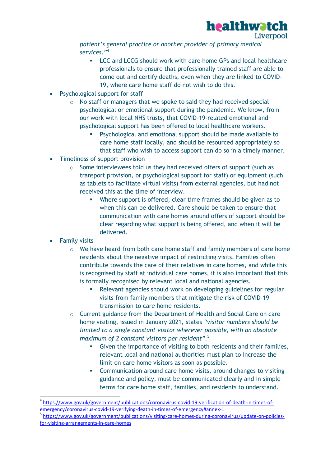

Liverpool

*patient's general practice or another provider of primary medical services."*<sup>4</sup>

- **LCC and LCCG should work with care home GPs and local healthcare** professionals to ensure that professionally trained staff are able to come out and certify deaths, even when they are linked to COVID-19, where care home staff do not wish to do this.
- Psychological support for staff
	- o No staff or managers that we spoke to said they had received special psychological or emotional support during the pandemic. We know, from our work with local NHS trusts, that COVID-19-related emotional and psychological support has been offered to local healthcare workers.
		- Psychological and emotional support should be made available to care home staff locally, and should be resourced appropriately so that staff who wish to access support can do so in a timely manner.
- Timeliness of support provision
	- o Some interviewees told us they had received offers of support (such as transport provision, or psychological support for staff) or equipment (such as tablets to facilitate virtual visits) from external agencies, but had not received this at the time of interview.
		- Where support is offered, clear time frames should be given as to when this can be delivered. Care should be taken to ensure that communication with care homes around offers of support should be clear regarding what support is being offered, and when it will be delivered.
- Family visits

1

- o We have heard from both care home staff and family members of care home residents about the negative impact of restricting visits. Families often contribute towards the care of their relatives in care homes, and while this is recognised by staff at individual care homes, it is also important that this is formally recognised by relevant local and national agencies.
	- Relevant agencies should work on developing guidelines for regular visits from family members that mitigate the risk of COVID-19 transmission to care home residents.
- o Current guidance from the Department of Health and Social Care on care home visiting, issued in January 2021, states *"visitor numbers should be limited to a single constant visitor wherever possible, with an absolute maximum of 2 constant visitors per resident".* 5
	- Given the importance of visiting to both residents and their families, relevant local and national authorities must plan to increase the limit on care home visitors as soon as possible.
	- **Communication around care home visits, around changes to visiting** guidance and policy, must be communicated clearly and in simple terms for care home staff, families, and residents to understand.

<sup>4</sup> [https://www.gov.uk/government/publications/coronavirus-covid-19-verification-of-death-in-times-of](https://www.gov.uk/government/publications/coronavirus-covid-19-verification-of-death-in-times-of-emergency/coronavirus-covid-19-verifying-death-in-times-of-emergency#annex-1)[emergency/coronavirus-covid-19-verifying-death-in-times-of-emergency#annex-1](https://www.gov.uk/government/publications/coronavirus-covid-19-verification-of-death-in-times-of-emergency/coronavirus-covid-19-verifying-death-in-times-of-emergency#annex-1)

<sup>5</sup> [https://www.gov.uk/government/publications/visiting-care-homes-during-coronavirus/update-on-policies](https://www.gov.uk/government/publications/visiting-care-homes-during-coronavirus/update-on-policies-for-visiting-arrangements-in-care-homes)[for-visiting-arrangements-in-care-homes](https://www.gov.uk/government/publications/visiting-care-homes-during-coronavirus/update-on-policies-for-visiting-arrangements-in-care-homes)